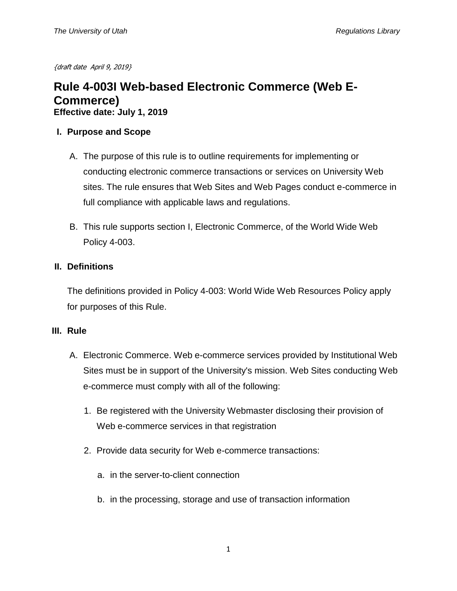{draft date April 9, 2019}

# **Rule 4-003I Web-based Electronic Commerce (Web E-Commerce) Effective date: July 1, 2019**

### **I. Purpose and Scope**

- A. The purpose of this rule is to outline requirements for implementing or conducting electronic commerce transactions or services on University Web sites. The rule ensures that Web Sites and Web Pages conduct e-commerce in full compliance with applicable laws and regulations.
- B. This rule supports section I, Electronic Commerce, of the World Wide Web Policy 4-003.

## **II. Definitions**

The definitions provided in Policy 4-003: World Wide Web Resources Policy apply for purposes of this Rule.

### **III. Rule**

- A. Electronic Commerce. Web e-commerce services provided by Institutional Web Sites must be in support of the University's mission. Web Sites conducting Web e-commerce must comply with all of the following:
	- 1. Be registered with the University Webmaster disclosing their provision of Web e-commerce services in that registration
	- 2. Provide data security for Web e-commerce transactions:
		- a. in the server-to-client connection
		- b. in the processing, storage and use of transaction information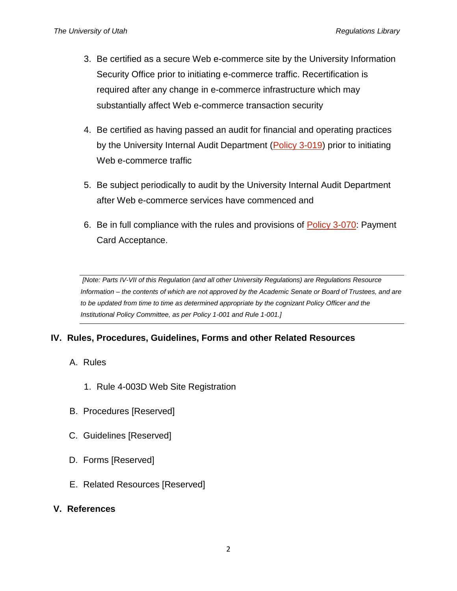- 3. Be certified as a secure Web e-commerce site by the University Information Security Office prior to initiating e-commerce traffic. Recertification is required after any change in e-commerce infrastructure which may substantially affect Web e-commerce transaction security
- 4. Be certified as having passed an audit for financial and operating practices by the University Internal Audit Department [\(Policy 3-019\)](https://regulations.utah.edu/administration/3-019.php) prior to initiating Web e-commerce traffic
- 5. Be subject periodically to audit by the University Internal Audit Department after Web e-commerce services have commenced and
- 6. Be in full compliance with the rules and provisions of [Policy 3-070:](https://regulations.utah.edu/administration/3-070.php) Payment Card Acceptance.

*[Note: Parts IV-VII of this Regulation (and all other University Regulations) are Regulations Resource Information – the contents of which are not approved by the Academic Senate or Board of Trustees, and are*  to be updated from time to time as determined appropriate by the cognizant Policy Officer and the *Institutional Policy Committee, as per Policy 1-001 and Rule 1-001.]*

# **IV. Rules, Procedures, Guidelines, Forms and other Related Resources**

- A. Rules
	- 1. Rule 4-003D Web Site Registration
- B. Procedures [Reserved]
- C. Guidelines [Reserved]
- D. Forms [Reserved]
- E. Related Resources [Reserved]

### **V. References**